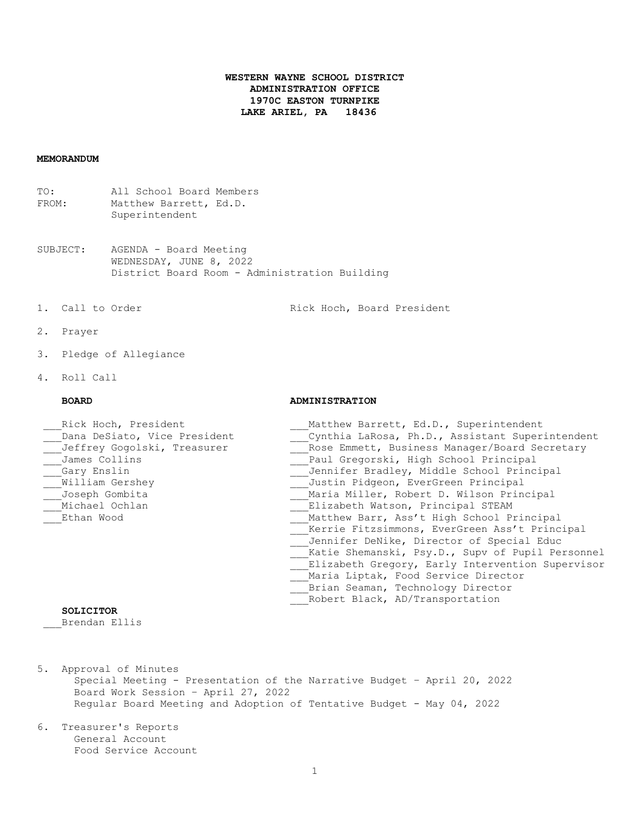# **WESTERN WAYNE SCHOOL DISTRICT ADMINISTRATION OFFICE 1970C EASTON TURNPIKE LAKE ARIEL, PA 18436**

# **MEMORANDUM**

TO: All School Board Members FROM: Matthew Barrett, Ed.D. Superintendent

- SUBJECT: AGENDA Board Meeting WEDNESDAY, JUNE 8, 2022 District Board Room - Administration Building
- 

1. Call to Order The Rick Hoch, Board President

- 2. Prayer
- 3. Pledge of Allegiance
- 4. Roll Call

# **BOARD ADMINISTRATION**

| Rick Hoch, President         | Matthew Barrett, Ed.D., Superintendent           |
|------------------------------|--------------------------------------------------|
| Dana DeSiato, Vice President | Cynthia LaRosa, Ph.D., Assistant Superintendent  |
| Jeffrey Gogolski, Treasurer  | Rose Emmett, Business Manager/Board Secretary    |
| James Collins                | Paul Gregorski, High School Principal            |
| Gary Enslin                  | Jennifer Bradley, Middle School Principal        |
| William Gershey              | Justin Pidgeon, EverGreen Principal              |
| Joseph Gombita               | Maria Miller, Robert D. Wilson Principal         |
| Michael Ochlan               | Elizabeth Watson, Principal STEAM                |
| Ethan Wood                   | Matthew Barr, Ass't High School Principal        |
|                              | Kerrie Fitzsimmons, EverGreen Ass't Principal    |
|                              | Jennifer DeNike, Director of Special Educ        |
|                              | Katie Shemanski, Psy.D., Supv of Pupil Personnel |
|                              | Elizabeth Gregory, Early Intervention Supervisor |
|                              | Maria Liptak, Food Service Director              |
|                              | Brian Seaman, Technology Director                |
|                              | Robert Black, AD/Transportation                  |

### **SOLICITOR**

\_\_\_Brendan Ellis

- 5. Approval of Minutes Special Meeting - Presentation of the Narrative Budget – April 20, 2022 Board Work Session – April 27, 2022 Regular Board Meeting and Adoption of Tentative Budget - May 04, 2022
- 6. Treasurer's Reports General Account Food Service Account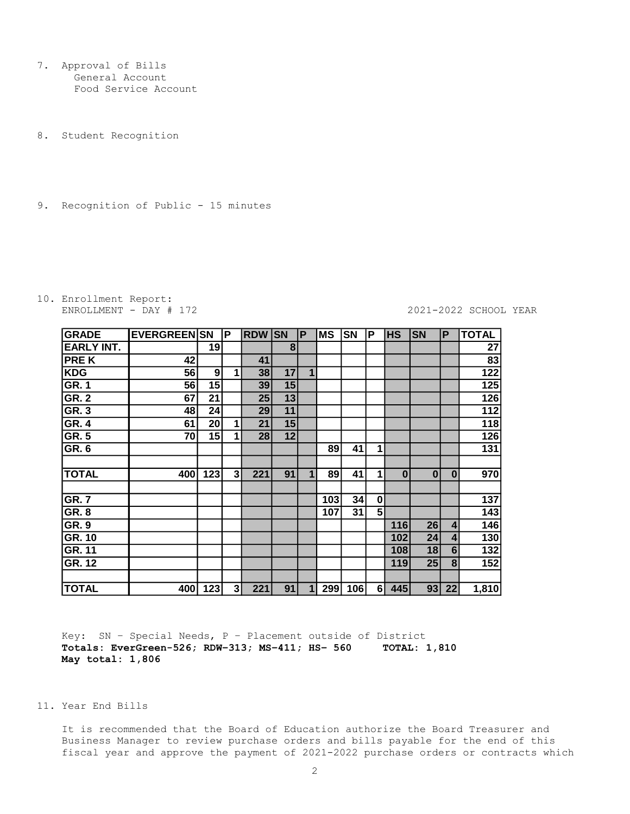7. Approval of Bills General Account Food Service Account

8. Student Recognition

9. Recognition of Public - 15 minutes

# 10. Enrollment Report:

#### ENROLLMENT - DAY # 172 2021-2022 SCHOOL YEAR

| GRADE             | <b>EVERGREEN SN</b> |     | P  | <b>RDW</b> | <b>SN</b>      | P | <b>MS</b> | <b>SN</b> | P              | <b>HS</b> | <b>SN</b> | P        | <b>TOTAL</b>     |
|-------------------|---------------------|-----|----|------------|----------------|---|-----------|-----------|----------------|-----------|-----------|----------|------------------|
| <b>EARLY INT.</b> |                     | 19  |    |            | 8 <sup>1</sup> |   |           |           |                |           |           |          | 27               |
| <b>PREK</b>       | 42                  |     |    | 41         |                |   |           |           |                |           |           |          | 83               |
| KDG               | 56                  | 9   | 1  | 38         | 17             | 1 |           |           |                |           |           |          | 122              |
| GR.1              | 56                  | 15  |    | 39         | 15             |   |           |           |                |           |           |          | 125              |
| <b>GR. 2</b>      | 67                  | 21  |    | 25         | 13             |   |           |           |                |           |           |          | 126              |
| GR.3              | 48                  | 24  |    | 29         | 11             |   |           |           |                |           |           |          | $\overline{112}$ |
| <b>GR. 4</b>      | 61                  | 20  | 1  | 21         | 15             |   |           |           |                |           |           |          | 118              |
| GR.5              | 70                  | 15  | 1  | 28         | 12             |   |           |           |                |           |           |          | 126              |
| GR. 6             |                     |     |    |            |                |   | 89        | 41        | $\mathbf{1}$   |           |           |          | 131              |
|                   |                     |     |    |            |                |   |           |           |                |           |           |          |                  |
| <b>TOTAL</b>      | 400                 | 123 | 31 | 221        | 91             | 1 | 89        | 41        | $\mathbf{1}$   | $\bf{0}$  | $\bf{0}$  | $\bf{0}$ | 970              |
|                   |                     |     |    |            |                |   |           |           |                |           |           |          |                  |
| GR.7              |                     |     |    |            |                |   | 103       | 34        | $\mathbf{0}$   |           |           |          | 137              |
| <b>GR. 8</b>      |                     |     |    |            |                |   | 107       | 31        | 5 <sup>1</sup> |           |           |          | 143              |
| <b>GR. 9</b>      |                     |     |    |            |                |   |           |           |                | 116       | 26        | 4        | 146              |
| <b>GR. 10</b>     |                     |     |    |            |                |   |           |           |                | 102       | 24        | 4        | 130              |
| <b>GR. 11</b>     |                     |     |    |            |                |   |           |           |                | 108       | 18        | 6        | $\overline{132}$ |
| <b>GR. 12</b>     |                     |     |    |            |                |   |           |           |                | 119       | 25        | 8        | 152              |
|                   |                     |     |    |            |                |   |           |           |                |           |           |          |                  |
| <b>TOTAL</b>      | 400                 | 123 | 3  | 221        | 91             | 1 | 299       | 106       | 61             | 445       | 93        | 22       | 1,810            |

 Key: SN – Special Needs, P – Placement outside of District **Totals: EverGreen-526; RDW–313; MS–411; HS– 560 TOTAL: 1,810 May total: 1,806**

## 11. Year End Bills

 It is recommended that the Board of Education authorize the Board Treasurer and Business Manager to review purchase orders and bills payable for the end of this fiscal year and approve the payment of 2021-2022 purchase orders or contracts which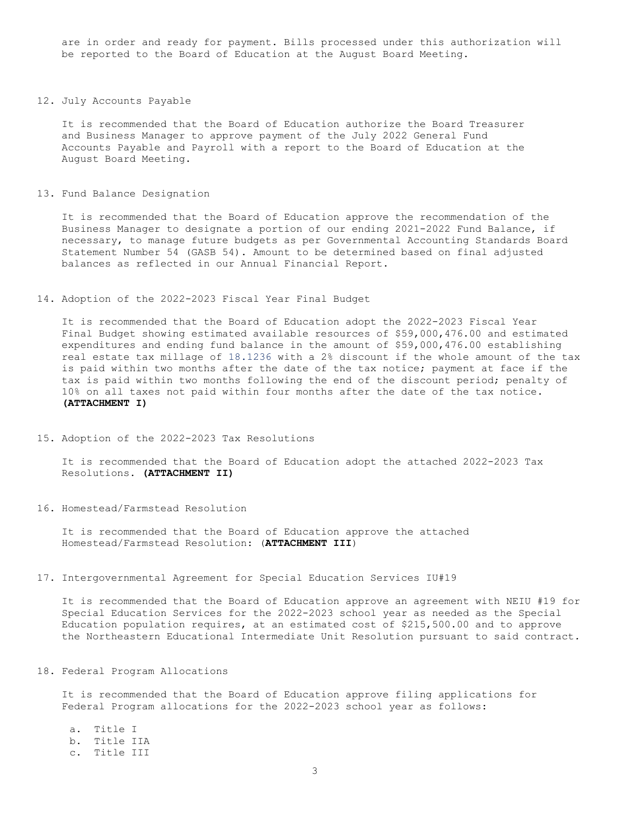are in order and ready for payment. Bills processed under this authorization will be reported to the Board of Education at the August Board Meeting.

#### 12. July Accounts Payable

 It is recommended that the Board of Education authorize the Board Treasurer and Business Manager to approve payment of the July 2022 General Fund Accounts Payable and Payroll with a report to the Board of Education at the August Board Meeting.

#### 13. Fund Balance Designation

 It is recommended that the Board of Education approve the recommendation of the Business Manager to designate a portion of our ending 2021-2022 Fund Balance, if necessary, to manage future budgets as per Governmental Accounting Standards Board Statement Number 54 (GASB 54). Amount to be determined based on final adjusted balances as reflected in our Annual Financial Report.

### 14. Adoption of the 2022-2023 Fiscal Year Final Budget

 It is recommended that the Board of Education adopt the 2022-2023 Fiscal Year Final Budget showing estimated available resources of \$59,000,476.00 and estimated expenditures and ending fund balance in the amount of \$59,000,476.00 establishing real estate tax millage of 18.1236 with a 2% discount if the whole amount of the tax is paid within two months after the date of the tax notice; payment at face if the tax is paid within two months following the end of the discount period; penalty of 10% on all taxes not paid within four months after the date of the tax notice. **(ATTACHMENT I)**

#### 15. Adoption of the 2022-2023 Tax Resolutions

 It is recommended that the Board of Education adopt the attached 2022-2023 Tax Resolutions. **(ATTACHMENT II)**

#### 16. Homestead/Farmstead Resolution

 It is recommended that the Board of Education approve the attached Homestead/Farmstead Resolution: (**ATTACHMENT III**)

#### 17. Intergovernmental Agreement for Special Education Services IU#19

 It is recommended that the Board of Education approve an agreement with NEIU #19 for Special Education Services for the 2022-2023 school year as needed as the Special Education population requires, at an estimated cost of \$215,500.00 and to approve the Northeastern Educational Intermediate Unit Resolution pursuant to said contract*.*

### 18. Federal Program Allocations

 It is recommended that the Board of Education approve filing applications for Federal Program allocations for the 2022-2023 school year as follows:

a. Title I b. Title IIA c. Title III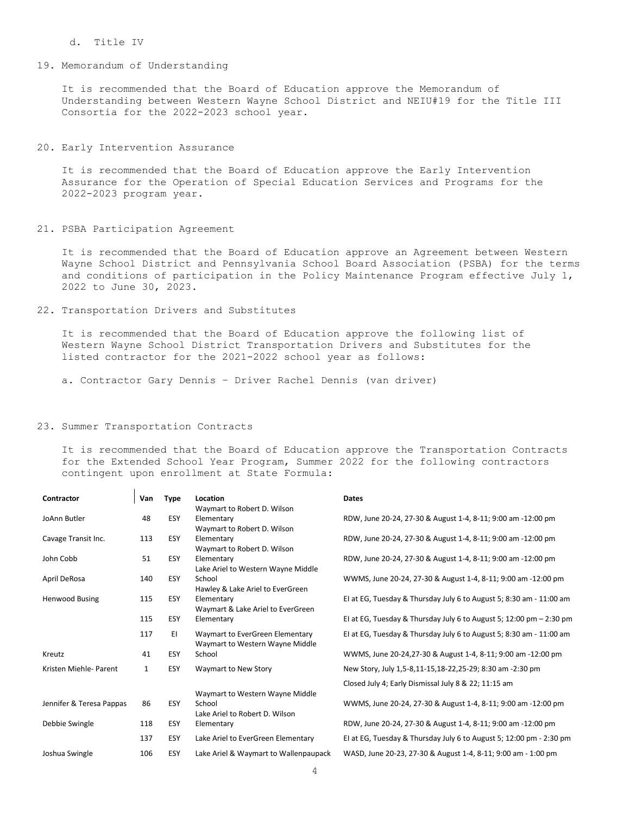#### d. Title IV

## 19. Memorandum of Understanding

 It is recommended that the Board of Education approve the Memorandum of Understanding between Western Wayne School District and NEIU#19 for the Title III Consortia for the 2022-2023 school year.

# 20*.* Early Intervention Assurance

 It is recommended that the Board of Education approve the Early Intervention Assurance for the Operation of Special Education Services and Programs for the 2022-2023 program year.

21. PSBA Participation Agreement

 It is recommended that the Board of Education approve an Agreement between Western Wayne School District and Pennsylvania School Board Association (PSBA) for the terms and conditions of participation in the Policy Maintenance Program effective July 1, 2022 to June 30, 2023.

22. Transportation Drivers and Substitutes

 It is recommended that the Board of Education approve the following list of Western Wayne School District Transportation Drivers and Substitutes for the listed contractor for the 2021-2022 school year as follows:

a. Contractor Gary Dennis – Driver Rachel Dennis (van driver)

#### 23. Summer Transportation Contracts

 It is recommended that the Board of Education approve the Transportation Contracts for the Extended School Year Program, Summer 2022 for the following contractors contingent upon enrollment at State Formula:

| Contractor               | Van          | <b>Type</b> | Location                              | <b>Dates</b>                                                          |
|--------------------------|--------------|-------------|---------------------------------------|-----------------------------------------------------------------------|
|                          |              |             | Waymart to Robert D. Wilson           |                                                                       |
| JoAnn Butler             | 48           | ESY         | Elementary                            | RDW, June 20-24, 27-30 & August 1-4, 8-11; 9:00 am -12:00 pm          |
|                          |              |             | Waymart to Robert D. Wilson           |                                                                       |
| Cavage Transit Inc.      | 113          | ESY         | Elementary                            | RDW, June 20-24, 27-30 & August 1-4, 8-11; 9:00 am -12:00 pm          |
|                          |              |             | Waymart to Robert D. Wilson           |                                                                       |
| John Cobb                | 51           | ESY         | Elementary                            | RDW, June 20-24, 27-30 & August 1-4, 8-11; 9:00 am -12:00 pm          |
|                          |              |             | Lake Ariel to Western Wayne Middle    |                                                                       |
| April DeRosa             | 140          | ESY         | School                                | WWMS, June 20-24, 27-30 & August 1-4, 8-11; 9:00 am -12:00 pm         |
|                          |              |             | Hawley & Lake Ariel to EverGreen      |                                                                       |
| <b>Henwood Busing</b>    | 115          | <b>ESY</b>  | Elementary                            | El at EG, Tuesday & Thursday July 6 to August 5; 8:30 am - 11:00 am   |
|                          |              |             | Waymart & Lake Ariel to EverGreen     |                                                                       |
|                          | 115          | <b>ESY</b>  | Elementary                            | El at EG, Tuesday & Thursday July 6 to August 5; 12:00 pm $-$ 2:30 pm |
|                          | 117          | EI.         | Waymart to EverGreen Elementary       | El at EG, Tuesday & Thursday July 6 to August 5; 8:30 am - 11:00 am   |
|                          |              |             | Waymart to Western Wayne Middle       |                                                                       |
| Kreutz                   | 41           | <b>ESY</b>  | School                                | WWMS, June 20-24,27-30 & August 1-4, 8-11; 9:00 am -12:00 pm          |
| Kristen Miehle- Parent   | $\mathbf{1}$ | ESY         | Waymart to New Story                  | New Story, July 1,5-8,11-15,18-22,25-29; 8:30 am -2:30 pm             |
|                          |              |             |                                       |                                                                       |
|                          |              |             |                                       |                                                                       |
| Jennifer & Teresa Pappas | 86           | ESY         | School                                | WWMS, June 20-24, 27-30 & August 1-4, 8-11; 9:00 am -12:00 pm         |
|                          |              |             | Lake Ariel to Robert D. Wilson        |                                                                       |
| Debbie Swingle           | 118          | <b>ESY</b>  | Elementary                            | RDW, June 20-24, 27-30 & August 1-4, 8-11; 9:00 am -12:00 pm          |
|                          | 137          | ESY         | Lake Ariel to EverGreen Elementary    | El at EG, Tuesday & Thursday July 6 to August 5; 12:00 pm - 2:30 pm   |
| Joshua Swingle           | 106          | ESY         | Lake Ariel & Waymart to Wallenpaupack | WASD, June 20-23, 27-30 & August 1-4, 8-11; 9:00 am - 1:00 pm         |
|                          |              |             | Waymart to Western Wayne Middle       | Closed July 4; Early Dismissal July 8 & 22; 11:15 am                  |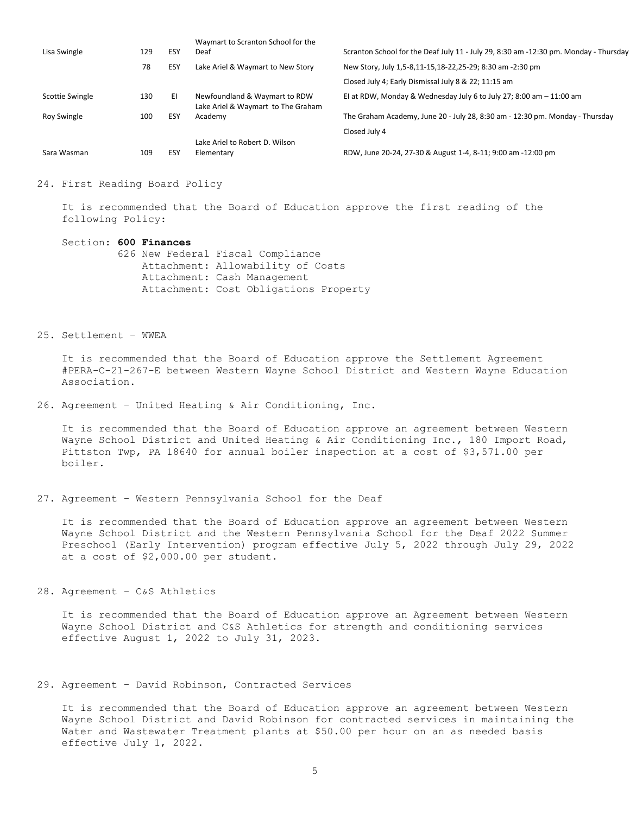| Lisa Swingle    | 129 | ESY | Waymart to Scranton School for the<br>Deaf                          | Scranton School for the Deaf July 11 - July 29, 8:30 am -12:30 pm. Monday - Thursday |
|-----------------|-----|-----|---------------------------------------------------------------------|--------------------------------------------------------------------------------------|
|                 | 78  | ESY | Lake Ariel & Waymart to New Story                                   | New Story, July 1,5-8,11-15,18-22,25-29; 8:30 am -2:30 pm                            |
|                 |     |     |                                                                     | Closed July 4; Early Dismissal July 8 & 22; 11:15 am                                 |
| Scottie Swingle | 130 | ΕI  | Newfoundland & Waymart to RDW<br>Lake Ariel & Waymart to The Graham | El at RDW, Monday & Wednesday July 6 to July 27; 8:00 am $-11:00$ am                 |
| Roy Swingle     | 100 | ESY | Academy                                                             | The Graham Academy, June 20 - July 28, 8:30 am - 12:30 pm. Monday - Thursday         |
|                 |     |     |                                                                     | Closed July 4                                                                        |
|                 |     |     | Lake Ariel to Robert D. Wilson                                      |                                                                                      |
| Sara Wasman     | 109 | ESY | Elementary                                                          | RDW, June 20-24, 27-30 & August 1-4, 8-11; 9:00 am -12:00 pm                         |

#### 24. First Reading Board Policy

 It is recommended that the Board of Education approve the first reading of the following Policy:

#### Section: **600 Finances**

 626 New Federal Fiscal Compliance Attachment: Allowability of Costs Attachment: Cash Management Attachment: Cost Obligations Property

### 25. Settlement – WWEA

 It is recommended that the Board of Education approve the Settlement Agreement #PERA-C-21-267-E between Western Wayne School District and Western Wayne Education Association.

26. Agreement – United Heating & Air Conditioning, Inc.

 It is recommended that the Board of Education approve an agreement between Western Wayne School District and United Heating & Air Conditioning Inc., 180 Import Road, Pittston Twp, PA 18640 for annual boiler inspection at a cost of \$3,571.00 per boiler.

27. Agreement – Western Pennsylvania School for the Deaf

 It is recommended that the Board of Education approve an agreement between Western Wayne School District and the Western Pennsylvania School for the Deaf 2022 Summer Preschool (Early Intervention) program effective July 5, 2022 through July 29, 2022 at a cost of \$2,000.00 per student.

28. Agreement – C&S Athletics

 It is recommended that the Board of Education approve an Agreement between Western Wayne School District and C&S Athletics for strength and conditioning services effective August 1, 2022 to July 31, 2023.

29. Agreement – David Robinson, Contracted Services

 It is recommended that the Board of Education approve an agreement between Western Wayne School District and David Robinson for contracted services in maintaining the Water and Wastewater Treatment plants at \$50.00 per hour on an as needed basis effective July 1, 2022.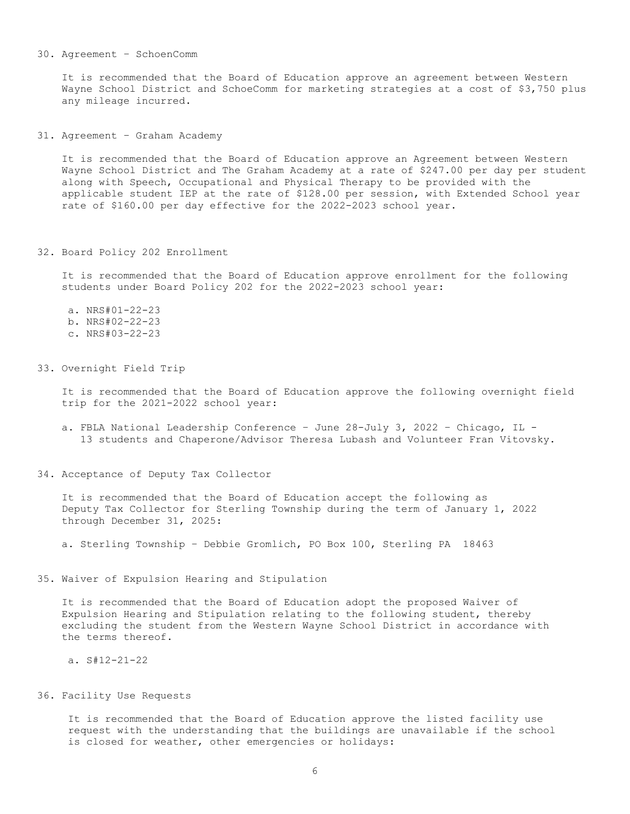#### 30. Agreement – SchoenComm

 It is recommended that the Board of Education approve an agreement between Western Wayne School District and SchoeComm for marketing strategies at a cost of \$3,750 plus any mileage incurred.

31. Agreement – Graham Academy

 It is recommended that the Board of Education approve an Agreement between Western Wayne School District and The Graham Academy at a rate of \$247.00 per day per student along with Speech, Occupational and Physical Therapy to be provided with the applicable student IEP at the rate of \$128.00 per session, with Extended School year rate of \$160.00 per day effective for the 2022-2023 school year.

32. Board Policy 202 Enrollment

 It is recommended that the Board of Education approve enrollment for the following students under Board Policy 202 for the 2022-2023 school year:

 a. NRS#01-22-23 b. NRS#02-22-23 c. NRS#03-22-23

33. Overnight Field Trip

 It is recommended that the Board of Education approve the following overnight field trip for the 2021-2022 school year:

- a. FBLA National Leadership Conference June 28-July 3, 2022 Chicago, IL 13 students and Chaperone/Advisor Theresa Lubash and Volunteer Fran Vitovsky.
- 34. Acceptance of Deputy Tax Collector

 It is recommended that the Board of Education accept the following as Deputy Tax Collector for Sterling Township during the term of January 1, 2022 through December 31, 2025:

a. Sterling Township – Debbie Gromlich, PO Box 100, Sterling PA 18463

35. Waiver of Expulsion Hearing and Stipulation

 It is recommended that the Board of Education adopt the proposed Waiver of Expulsion Hearing and Stipulation relating to the following student, thereby excluding the student from the Western Wayne School District in accordance with the terms thereof.

a. S#12-21-22

#### 36. Facility Use Requests

 It is recommended that the Board of Education approve the listed facility use request with the understanding that the buildings are unavailable if the school is closed for weather, other emergencies or holidays: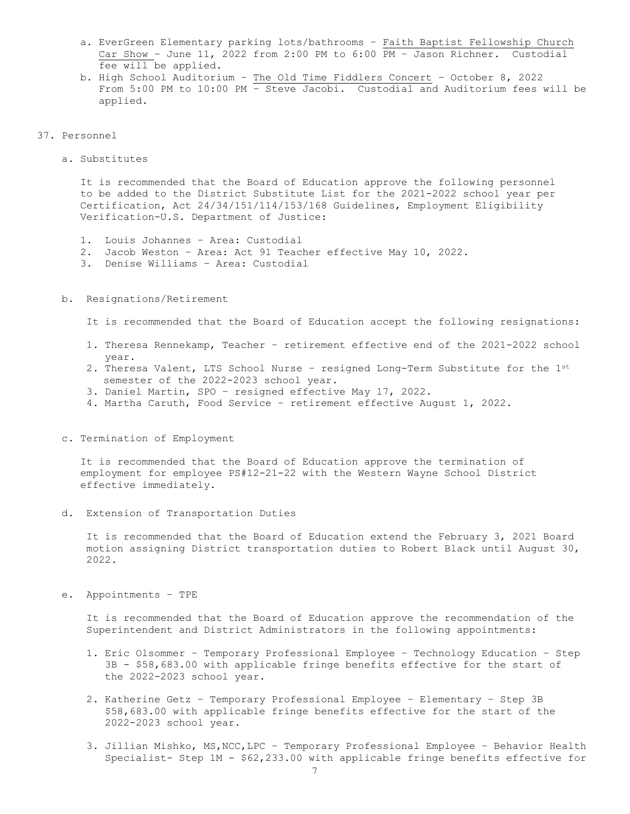- a. EverGreen Elementary parking lots/bathrooms Faith Baptist Fellowship Church Car Show – June 11, 2022 from 2:00 PM to 6:00 PM – Jason Richner. Custodial fee will be applied.
- b. High School Auditorium The Old Time Fiddlers Concert October 8, 2022 From 5:00 PM to 10:00 PM – Steve Jacobi. Custodial and Auditorium fees will be applied.

#### 37. Personnel

a. Substitutes

 It is recommended that the Board of Education approve the following personnel to be added to the District Substitute List for the 2021-2022 school year per Certification, Act 24/34/151/114/153/168 Guidelines, Employment Eligibility Verification-U.S. Department of Justice:

- 1. Louis Johannes Area: Custodial
- 2. Jacob Weston Area: Act 91 Teacher effective May 10, 2022.
- 3. Denise Williams Area: Custodial
- b. Resignations/Retirement

It is recommended that the Board of Education accept the following resignations:

- 1. Theresa Rennekamp, Teacher retirement effective end of the 2021-2022 school year.
- 2. Theresa Valent, LTS School Nurse resigned Long-Term Substitute for the 1st semester of the 2022-2023 school year.
- 3. Daniel Martin, SPO resigned effective May 17, 2022.
- 4. Martha Caruth, Food Service retirement effective August 1, 2022.
- c. Termination of Employment

 It is recommended that the Board of Education approve the termination of employment for employee PS#12-21-22 with the Western Wayne School District effective immediately.

d. Extension of Transportation Duties

 It is recommended that the Board of Education extend the February 3, 2021 Board motion assigning District transportation duties to Robert Black until August 30, 2022.

e. Appointments – TPE

 It is recommended that the Board of Education approve the recommendation of the Superintendent and District Administrators in the following appointments:

- 1. Eric Olsommer Temporary Professional Employee Technology Education Step 3B - \$58,683.00 with applicable fringe benefits effective for the start of the 2022-2023 school year.
- 2. Katherine Getz Temporary Professional Employee Elementary Step 3B \$58,683.00 with applicable fringe benefits effective for the start of the 2022-2023 school year.
- 3. Jillian Mishko, MS,NCC,LPC Temporary Professional Employee Behavior Health Specialist- Step 1M - \$62,233.00 with applicable fringe benefits effective for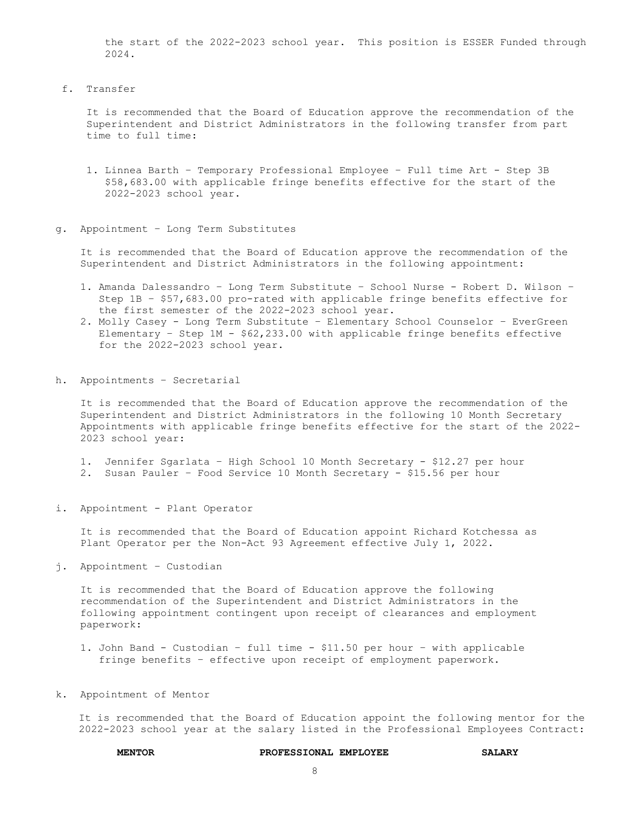the start of the 2022-2023 school year. This position is ESSER Funded through 2024.

f. Transfer

 It is recommended that the Board of Education approve the recommendation of the Superintendent and District Administrators in the following transfer from part time to full time:

- 1. Linnea Barth Temporary Professional Employee Full time Art Step 3B \$58,683.00 with applicable fringe benefits effective for the start of the 2022-2023 school year.
- g. Appointment Long Term Substitutes

 It is recommended that the Board of Education approve the recommendation of the Superintendent and District Administrators in the following appointment:

- 1**.** Amanda Dalessandro Long Term Substitute School Nurse Robert D. Wilson Step 1B – \$57,683.00 pro-rated with applicable fringe benefits effective for the first semester of the 2022-2023 school year.
- 2. Molly Casey Long Term Substitute Elementary School Counselor EverGreen Elementary – Step 1M - \$62,233.00 with applicable fringe benefits effective for the 2022-2023 school year.
- h. Appointments Secretarial

 It is recommended that the Board of Education approve the recommendation of the Superintendent and District Administrators in the following 10 Month Secretary Appointments with applicable fringe benefits effective for the start of the 2022- 2023 school year:

- 1. Jennifer Sgarlata High School 10 Month Secretary \$12.27 per hour
- 2. Susan Pauler Food Service 10 Month Secretary \$15.56 per hour
- i. Appointment Plant Operator

 It is recommended that the Board of Education appoint Richard Kotchessa as Plant Operator per the Non-Act 93 Agreement effective July 1, 2022.

j. Appointment – Custodian

 It is recommended that the Board of Education approve the following recommendation of the Superintendent and District Administrators in the following appointment contingent upon receipt of clearances and employment paperwork:

1. John Band - Custodian – full time - \$11.50 per hour – with applicable fringe benefits – effective upon receipt of employment paperwork.

#### k. Appointment of Mentor

It is recommended that the Board of Education appoint the following mentor for the 2022-2023 school year at the salary listed in the Professional Employees Contract:

#### **MENTOR PROFESSIONAL EMPLOYEE SALARY**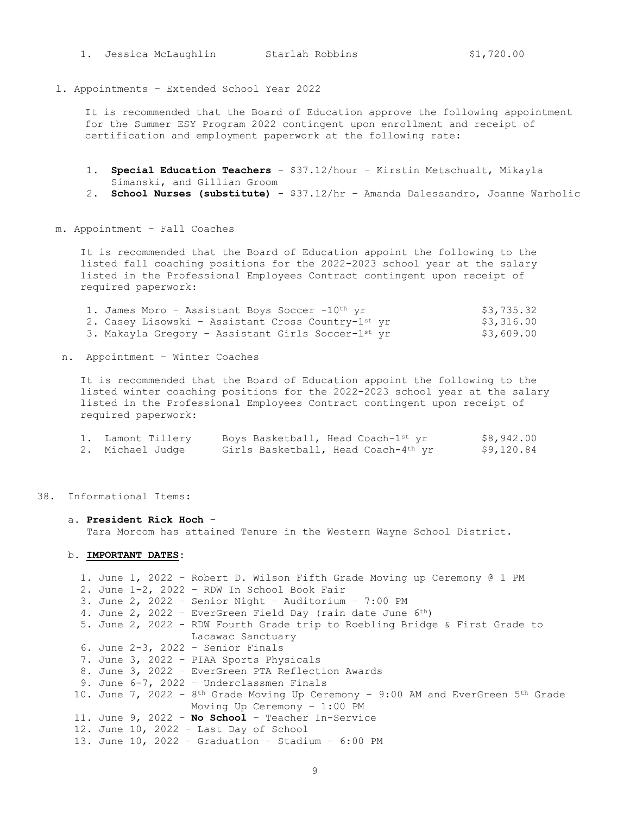1. Jessica McLaughlin Starlah Robbins \$1,720.00

l. Appointments – Extended School Year 2022

It is recommended that the Board of Education approve the following appointment for the Summer ESY Program 2022 contingent upon enrollment and receipt of certification and employment paperwork at the following rate:

- 1. **Special Education Teachers** \$37.12/hour Kirstin Metschualt, Mikayla Simanski, and Gillian Groom
- 2. **School Nurses (substitute)** \$37.12/hr Amanda Dalessandro, Joanne Warholic
- m. Appointment Fall Coaches

 It is recommended that the Board of Education appoint the following to the listed fall coaching positions for the 2022-2023 school year at the salary listed in the Professional Employees Contract contingent upon receipt of required paperwork:

| 1. James Moro - Assistant Boys Soccer -10th yr     | \$3,735.32 |
|----------------------------------------------------|------------|
| 2. Casey Lisowski - Assistant Cross Country-1st yr | \$3,316.00 |
| 3. Makayla Gregory - Assistant Girls Soccer-1st yr | \$3,609.00 |

n. Appointment – Winter Coaches

 It is recommended that the Board of Education appoint the following to the listed winter coaching positions for the 2022-2023 school year at the salary listed in the Professional Employees Contract contingent upon receipt of required paperwork:

| 1. Lamont Tillery | Boys Basketball, Head Coach-1st yr  | \$8,942.00 |
|-------------------|-------------------------------------|------------|
| 2. Michael Judge  | Girls Basketball, Head Coach-4th yr | \$9,120.84 |

38. Informational Items:

#### a. **President Rick Hoch** –

Tara Morcom has attained Tenure in the Western Wayne School District.

b**. IMPORTANT DATES:**

```
 1. June 1, 2022 – Robert D. Wilson Fifth Grade Moving up Ceremony @ 1 PM
  2. June 1-2, 2022 – RDW In School Book Fair
  3. June 2, 2022 – Senior Night – Auditorium – 7:00 PM
  4. June 2, 2022 – EverGreen Field Day (rain date June 6th)
  5. June 2, 2022 - RDW Fourth Grade trip to Roebling Bridge & First Grade to 
                    Lacawac Sanctuary
  6. June 2-3, 2022 – Senior Finals
  7. June 3, 2022 – PIAA Sports Physicals
  8. June 3, 2022 – EverGreen PTA Reflection Awards
  9. June 6-7, 2022 – Underclassmen Finals
10. June 7, 2022 - 8<sup>th</sup> Grade Moving Up Ceremony - 9:00 AM and EverGreen 5<sup>th</sup> Grade
                    Moving Up Ceremony – 1:00 PM
 11. June 9, 2022 – No School – Teacher In-Service
 12. June 10, 2022 – Last Day of School
 13. June 10, 2022 – Graduation – Stadium – 6:00 PM
```